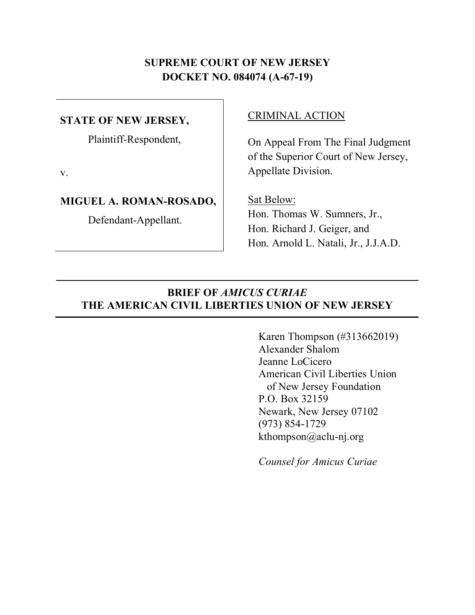## **SUPREME COURT OF NEW JERSEY DOCKET NO. 084074 (A-67-19)**

## **STATE OF NEW JERSEY,**

Plaintiff-Respondent,

v.

#### **MIGUEL A. ROMAN-ROSADO,**

Defendant-Appellant.

#### CRIMINAL ACTION

On Appeal From The Final Judgment of the Superior Court of New Jersey, Appellate Division.

Sat Below: Hon. Thomas W. Sumners, Jr., Hon. Richard J. Geiger, and Hon. Arnold L. Natali, Jr., J.J.A.D.

### **BRIEF OF** *AMICUS CURIAE* **THE AMERICAN CIVIL LIBERTIES UNION OF NEW JERSEY**

Karen Thompson (#313662019) Alexander Shalom Jeanne LoCicero American Civil Liberties Union of New Jersey Foundation P.O. Box 32159 Newark, New Jersey 07102 (973) 854-1729 kthompson@aclu-nj.org

*Counsel for Amicus Curiae*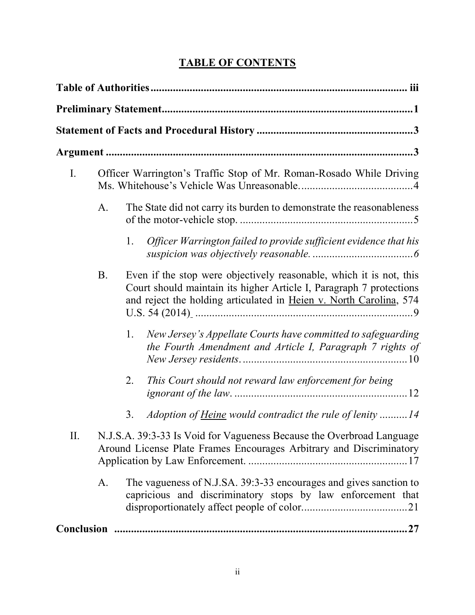# **TABLE OF CONTENTS**

| I.        |    | Officer Warrington's Traffic Stop of Mr. Roman-Rosado While Driving                                                                                                                                              |
|-----------|----|------------------------------------------------------------------------------------------------------------------------------------------------------------------------------------------------------------------|
|           | A. | The State did not carry its burden to demonstrate the reasonableness                                                                                                                                             |
|           |    | 1.<br>Officer Warrington failed to provide sufficient evidence that his                                                                                                                                          |
|           | B. | Even if the stop were objectively reasonable, which it is not, this<br>Court should maintain its higher Article I, Paragraph 7 protections<br>and reject the holding articulated in Heien v. North Carolina, 574 |
|           |    | New Jersey's Appellate Courts have committed to safeguarding<br>1.<br>the Fourth Amendment and Article I, Paragraph 7 rights of                                                                                  |
|           |    | This Court should not reward law enforcement for being<br>2.                                                                                                                                                     |
|           |    | Adoption of <u>Heine</u> would contradict the rule of lenity 14<br>3.                                                                                                                                            |
| $\prod$ . |    | N.J.S.A. 39:3-33 Is Void for Vagueness Because the Overbroad Language<br>Around License Plate Frames Encourages Arbitrary and Discriminatory                                                                     |
|           | A. | The vagueness of N.J.SA. 39:3-33 encourages and gives sanction to<br>capricious and discriminatory stops by law enforcement that                                                                                 |
|           |    |                                                                                                                                                                                                                  |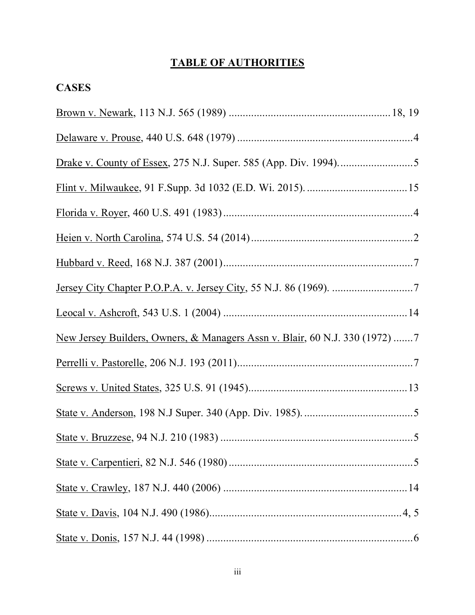## **TABLE OF AUTHORITIES**

| <b>CASES</b>                                                                           |  |
|----------------------------------------------------------------------------------------|--|
|                                                                                        |  |
|                                                                                        |  |
|                                                                                        |  |
|                                                                                        |  |
|                                                                                        |  |
|                                                                                        |  |
|                                                                                        |  |
|                                                                                        |  |
|                                                                                        |  |
| <u>New Jersey Builders, Owners, &amp; Managers Assn v. Blair, 60 N.J. 330 (1972)</u> 7 |  |
|                                                                                        |  |
|                                                                                        |  |
|                                                                                        |  |
|                                                                                        |  |
|                                                                                        |  |
|                                                                                        |  |
|                                                                                        |  |
|                                                                                        |  |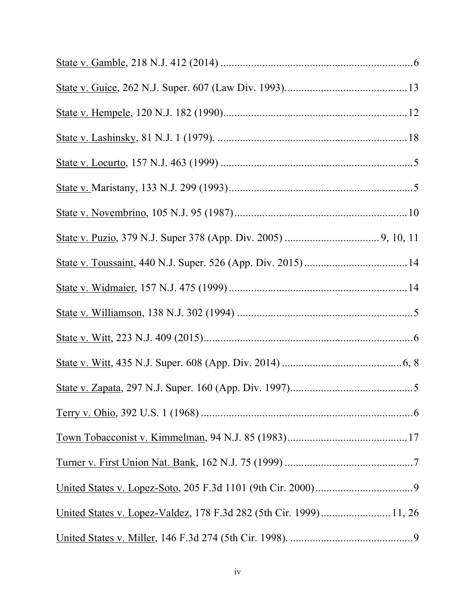| United States v. Lopez-Valdez, 178 F.3d 282 (5th Cir. 1999) 11, 26 |  |
|--------------------------------------------------------------------|--|
|                                                                    |  |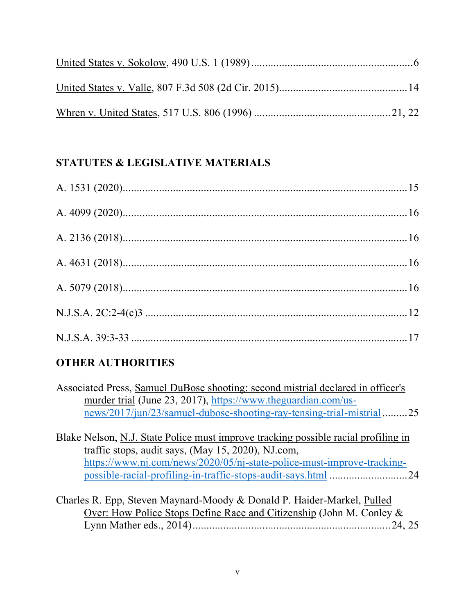# **STATUTES & LEGISLATIVE MATERIALS**

# **OTHER AUTHORITIES**

| Associated Press, Samuel DuBose shooting: second mistrial declared in officer's |  |
|---------------------------------------------------------------------------------|--|
| murder trial (June 23, 2017), https://www.theguardian.com/us-                   |  |
| news/2017/jun/23/samuel-dubose-shooting-ray-tensing-trial-mistrial25            |  |

Blake Nelson, N.J. State Police must improve tracking possible racial profiling in traffic stops, audit says, (May 15, 2020), NJ.com, https://www.nj.com/news/2020/05/nj-state-police-must-improve-trackingpossible-racial-profiling-in-traffic-stops-audit-says.html ............................24

Charles R. Epp, Steven Maynard-Moody & Donald P. Haider-Markel, Pulled Over: How Police Stops Define Race and Citizenship (John M. Conley & Lynn Mather eds., 2014).......................................................................24, 25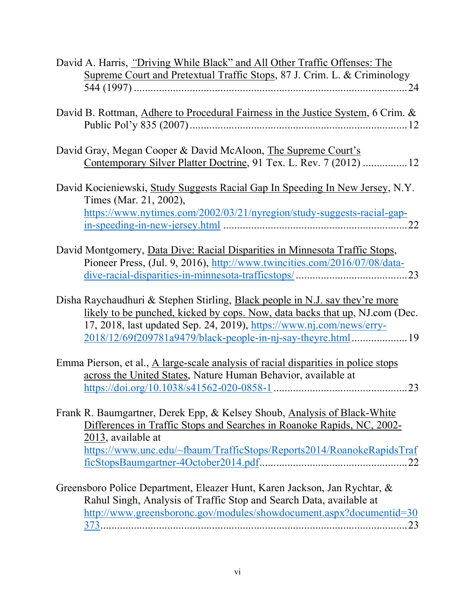| David A. Harris, "Driving While Black" and All Other Traffic Offenses: The         |
|------------------------------------------------------------------------------------|
| Supreme Court and Pretextual Traffic Stops, 87 J. Crim. L. & Criminology           |
|                                                                                    |
|                                                                                    |
| David B. Rottman, Adhere to Procedural Fairness in the Justice System, 6 Crim. &   |
|                                                                                    |
|                                                                                    |
| David Gray, Megan Cooper & David McAloon, The Supreme Court's                      |
| Contemporary Silver Platter Doctrine, 91 Tex. L. Rev. 7 (2012) 12                  |
|                                                                                    |
| David Kocieniewski, Study Suggests Racial Gap In Speeding In New Jersey, N.Y.      |
| Times (Mar. 21, 2002),                                                             |
| https://www.nytimes.com/2002/03/21/nyregion/study-suggests-racial-gap-             |
|                                                                                    |
|                                                                                    |
| David Montgomery, Data Dive: Racial Disparities in Minnesota Traffic Stops,        |
| Pioneer Press, (Jul. 9, 2016), http://www.twincities.com/2016/07/08/data-          |
|                                                                                    |
|                                                                                    |
| Disha Raychaudhuri & Stephen Stirling, Black people in N.J. say they're more       |
| likely to be punched, kicked by cops. Now, data backs that up, NJ.com (Dec.        |
|                                                                                    |
| 17, 2018, last updated Sep. 24, 2019), https://www.nj.com/news/erry-               |
| 2018/12/69f209781a9479/black-people-in-nj-say-theyre.html19                        |
|                                                                                    |
| Emma Pierson, et al., A large-scale analysis of racial disparities in police stops |
| across the United States, Nature Human Behavior, available at                      |
| 23                                                                                 |
|                                                                                    |
| Frank R. Baumgartner, Derek Epp, & Kelsey Shoub, Analysis of Black-White           |
| Differences in Traffic Stops and Searches in Roanoke Rapids, NC, 2002-             |
| $2013$ , available at                                                              |
| https://www.unc.edu/~fbaum/TrafficStops/Reports2014/RoanokeRapidsTraf              |
|                                                                                    |
|                                                                                    |
| Greensboro Police Department, Eleazer Hunt, Karen Jackson, Jan Rychtar, &          |
| Rahul Singh, Analysis of Traffic Stop and Search Data, available at                |
| http://www.greensboronc.gov/modules/showdocument.aspx?documentid=30                |
| 23                                                                                 |
|                                                                                    |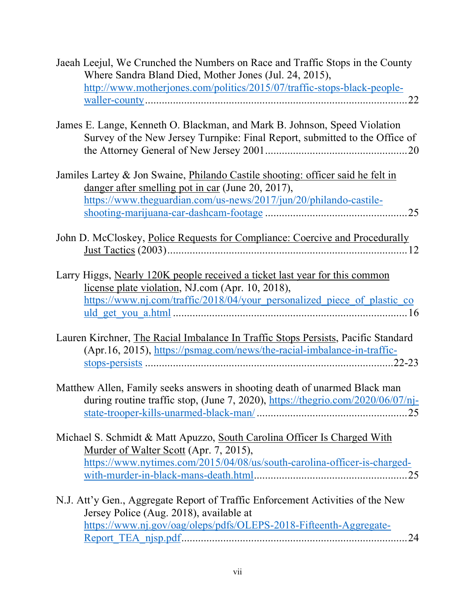| Jaeah Leejul, We Crunched the Numbers on Race and Traffic Stops in the County<br>Where Sandra Bland Died, Mother Jones (Jul. 24, 2015),                                                                     |
|-------------------------------------------------------------------------------------------------------------------------------------------------------------------------------------------------------------|
| http://www.motherjones.com/politics/2015/07/traffic-stops-black-people-                                                                                                                                     |
| James E. Lange, Kenneth O. Blackman, and Mark B. Johnson, Speed Violation<br>Survey of the New Jersey Turnpike: Final Report, submitted to the Office of                                                    |
| Jamiles Lartey & Jon Swaine, Philando Castile shooting: officer said he felt in<br>danger after smelling pot in car (June 20, 2017),<br>https://www.theguardian.com/us-news/2017/jun/20/philando-castile-   |
| John D. McCloskey, Police Requests for Compliance: Coercive and Procedurally                                                                                                                                |
| Larry Higgs, Nearly 120K people received a ticket last year for this common<br>license plate violation, NJ.com (Apr. 10, 2018),<br>https://www.nj.com/traffic/2018/04/your_personalized_piece_of_plastic_co |
| Lauren Kirchner, The Racial Imbalance In Traffic Stops Persists, Pacific Standard<br>(Apr. 16, 2015), https://psmag.com/news/the-racial-imbalance-in-traffic-                                               |
| Matthew Allen, Family seeks answers in shooting death of unarmed Black man<br>during routine traffic stop, (June 7, 2020), https://thegrio.com/2020/06/07/nj-                                               |
| Michael S. Schmidt & Matt Apuzzo, South Carolina Officer Is Charged With<br>Murder of Walter Scott (Apr. 7, 2015),<br>https://www.nytimes.com/2015/04/08/us/south-carolina-officer-is-charged-              |
| N.J. Att'y Gen., Aggregate Report of Traffic Enforcement Activities of the New<br>Jersey Police (Aug. 2018), available at<br>https://www.nj.gov/oag/oleps/pdfs/OLEPS-2018-Fifteenth-Aggregate-<br>24        |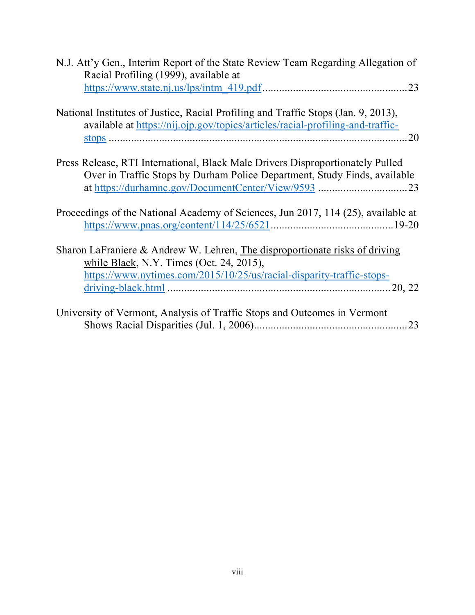| N.J. Att'y Gen., Interim Report of the State Review Team Regarding Allegation of                                                                                     |
|----------------------------------------------------------------------------------------------------------------------------------------------------------------------|
| Racial Profiling (1999), available at                                                                                                                                |
| $\frac{https://www.state.nj.us/lps/intm 419.pdf}{23}$                                                                                                                |
|                                                                                                                                                                      |
| National Institutes of Justice, Racial Profiling and Traffic Stops (Jan. 9, 2013),<br>available at https://nij.ojp.gov/topics/articles/racial-profiling-and-traffic- |
| 20                                                                                                                                                                   |
|                                                                                                                                                                      |
|                                                                                                                                                                      |
| Press Release, RTI International, Black Male Drivers Disproportionately Pulled                                                                                       |
| Over in Traffic Stops by Durham Police Department, Study Finds, available                                                                                            |
|                                                                                                                                                                      |
|                                                                                                                                                                      |
| Proceedings of the National Academy of Sciences, Jun 2017, 114 (25), available at                                                                                    |
|                                                                                                                                                                      |
|                                                                                                                                                                      |
| Sharon LaFraniere & Andrew W. Lehren, The disproportionate risks of driving                                                                                          |
| while Black, N.Y. Times (Oct. 24, 2015),                                                                                                                             |
| https://www.nytimes.com/2015/10/25/us/racial-disparity-traffic-stops-                                                                                                |
|                                                                                                                                                                      |
|                                                                                                                                                                      |
| University of Vermont, Analysis of Traffic Stops and Outcomes in Vermont                                                                                             |
| 23                                                                                                                                                                   |
|                                                                                                                                                                      |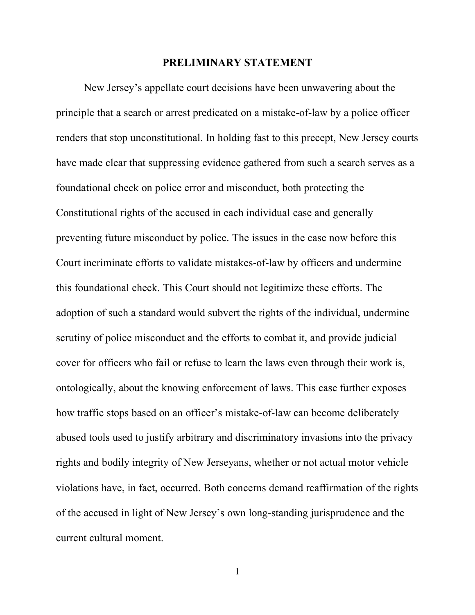#### **PRELIMINARY STATEMENT**

New Jersey's appellate court decisions have been unwavering about the principle that a search or arrest predicated on a mistake-of-law by a police officer renders that stop unconstitutional. In holding fast to this precept, New Jersey courts have made clear that suppressing evidence gathered from such a search serves as a foundational check on police error and misconduct, both protecting the Constitutional rights of the accused in each individual case and generally preventing future misconduct by police. The issues in the case now before this Court incriminate efforts to validate mistakes-of-law by officers and undermine this foundational check. This Court should not legitimize these efforts. The adoption of such a standard would subvert the rights of the individual, undermine scrutiny of police misconduct and the efforts to combat it, and provide judicial cover for officers who fail or refuse to learn the laws even through their work is, ontologically, about the knowing enforcement of laws. This case further exposes how traffic stops based on an officer's mistake-of-law can become deliberately abused tools used to justify arbitrary and discriminatory invasions into the privacy rights and bodily integrity of New Jerseyans, whether or not actual motor vehicle violations have, in fact, occurred. Both concerns demand reaffirmation of the rights of the accused in light of New Jersey's own long-standing jurisprudence and the current cultural moment.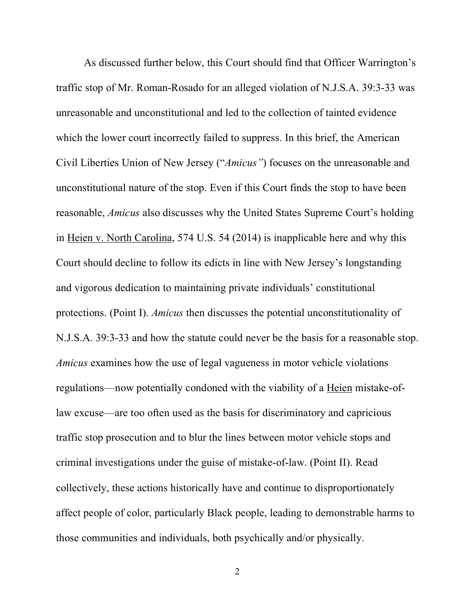As discussed further below, this Court should find that Officer Warrington's traffic stop of Mr. Roman-Rosado for an alleged violation of N.J.S.A. 39:3-33 was unreasonable and unconstitutional and led to the collection of tainted evidence which the lower court incorrectly failed to suppress. In this brief, the American Civil Liberties Union of New Jersey ("*Amicus"*) focuses on the unreasonable and unconstitutional nature of the stop. Even if this Court finds the stop to have been reasonable, *Amicus* also discusses why the United States Supreme Court's holding in Heien v. North Carolina, 574 U.S. 54 (2014) is inapplicable here and why this Court should decline to follow its edicts in line with New Jersey's longstanding and vigorous dedication to maintaining private individuals' constitutional protections. (Point I). *Amicus* then discusses the potential unconstitutionality of N.J.S.A. 39:3-33 and how the statute could never be the basis for a reasonable stop. *Amicus* examines how the use of legal vagueness in motor vehicle violations regulations—now potentially condoned with the viability of a Heien mistake-oflaw excuse—are too often used as the basis for discriminatory and capricious traffic stop prosecution and to blur the lines between motor vehicle stops and criminal investigations under the guise of mistake-of-law. (Point II). Read collectively, these actions historically have and continue to disproportionately affect people of color, particularly Black people, leading to demonstrable harms to those communities and individuals, both psychically and/or physically.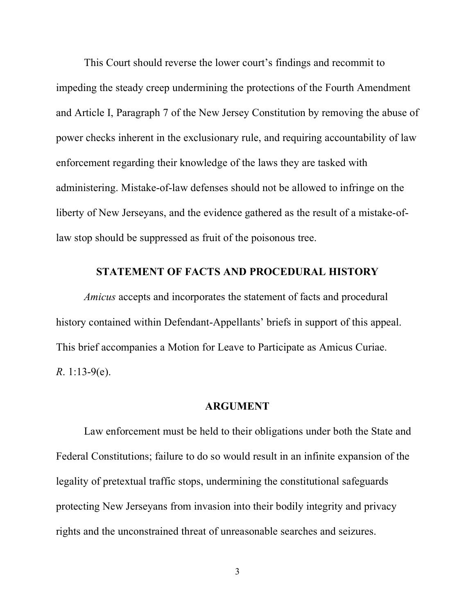This Court should reverse the lower court's findings and recommit to impeding the steady creep undermining the protections of the Fourth Amendment and Article I, Paragraph 7 of the New Jersey Constitution by removing the abuse of power checks inherent in the exclusionary rule, and requiring accountability of law enforcement regarding their knowledge of the laws they are tasked with administering. Mistake-of-law defenses should not be allowed to infringe on the liberty of New Jerseyans, and the evidence gathered as the result of a mistake-oflaw stop should be suppressed as fruit of the poisonous tree.

#### **STATEMENT OF FACTS AND PROCEDURAL HISTORY**

*Amicus* accepts and incorporates the statement of facts and procedural history contained within Defendant-Appellants' briefs in support of this appeal. This brief accompanies a Motion for Leave to Participate as Amicus Curiae. *R*. 1:13-9(e).

#### **ARGUMENT**

Law enforcement must be held to their obligations under both the State and Federal Constitutions; failure to do so would result in an infinite expansion of the legality of pretextual traffic stops, undermining the constitutional safeguards protecting New Jerseyans from invasion into their bodily integrity and privacy rights and the unconstrained threat of unreasonable searches and seizures.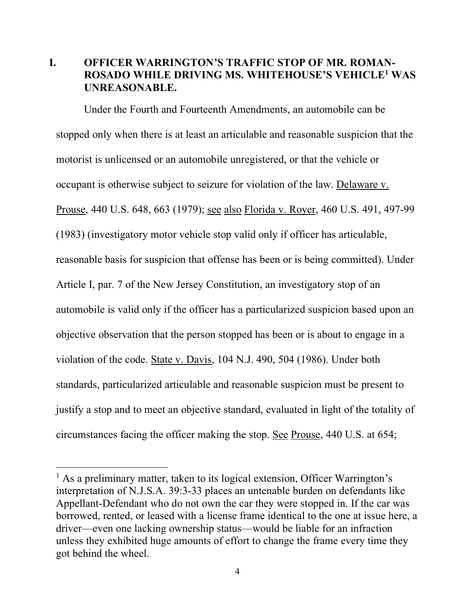### **I. OFFICER WARRINGTON'S TRAFFIC STOP OF MR. ROMAN-ROSADO WHILE DRIVING MS. WHITEHOUSE'S VEHICLE1 WAS UNREASONABLE.**

Under the Fourth and Fourteenth Amendments, an automobile can be stopped only when there is at least an articulable and reasonable suspicion that the motorist is unlicensed or an automobile unregistered, or that the vehicle or occupant is otherwise subject to seizure for violation of the law. Delaware v. Prouse, 440 U.S. 648, 663 (1979); see also Florida v. Royer, 460 U.S. 491, 497-99 (1983) (investigatory motor vehicle stop valid only if officer has articulable, reasonable basis for suspicion that offense has been or is being committed). Under Article I, par. 7 of the New Jersey Constitution, an investigatory stop of an automobile is valid only if the officer has a particularized suspicion based upon an objective observation that the person stopped has been or is about to engage in a violation of the code. State v. Davis, 104 N.J. 490, 504 (1986). Under both standards, particularized articulable and reasonable suspicion must be present to justify a stop and to meet an objective standard, evaluated in light of the totality of circumstances facing the officer making the stop. See Prouse, 440 U.S. at 654;

 $\overline{a}$ 

<sup>&</sup>lt;sup>1</sup> As a preliminary matter, taken to its logical extension, Officer Warrington's interpretation of N.J.S.A. 39:3-33 places an untenable burden on defendants like Appellant-Defendant who do not own the car they were stopped in. If the car was borrowed, rented, or leased with a license frame identical to the one at issue here, a driver—even one lacking ownership status—would be liable for an infraction unless they exhibited huge amounts of effort to change the frame every time they got behind the wheel.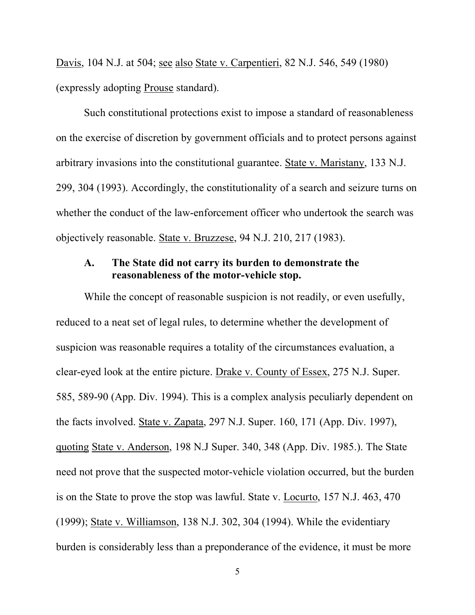Davis, 104 N.J. at 504; see also State v. Carpentieri, 82 N.J. 546, 549 (1980) (expressly adopting Prouse standard).

Such constitutional protections exist to impose a standard of reasonableness on the exercise of discretion by government officials and to protect persons against arbitrary invasions into the constitutional guarantee. State v. Maristany, 133 N.J. 299, 304 (1993). Accordingly, the constitutionality of a search and seizure turns on whether the conduct of the law-enforcement officer who undertook the search was objectively reasonable. State v. Bruzzese, 94 N.J. 210, 217 (1983).

#### **A. The State did not carry its burden to demonstrate the reasonableness of the motor-vehicle stop.**

While the concept of reasonable suspicion is not readily, or even usefully, reduced to a neat set of legal rules, to determine whether the development of suspicion was reasonable requires a totality of the circumstances evaluation, a clear-eyed look at the entire picture. Drake v. County of Essex, 275 N.J. Super. 585, 589-90 (App. Div. 1994). This is a complex analysis peculiarly dependent on the facts involved. State v. Zapata, 297 N.J. Super. 160, 171 (App. Div. 1997), quoting State v. Anderson, 198 N.J Super. 340, 348 (App. Div. 1985.). The State need not prove that the suspected motor-vehicle violation occurred, but the burden is on the State to prove the stop was lawful. State v. Locurto, 157 N.J. 463, 470 (1999); State v. Williamson, 138 N.J. 302, 304 (1994). While the evidentiary burden is considerably less than a preponderance of the evidence, it must be more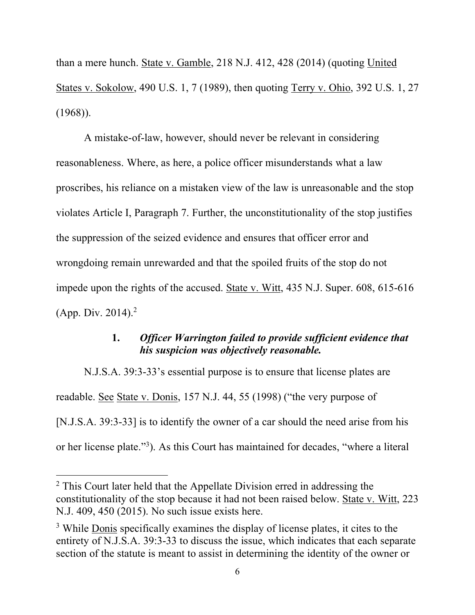than a mere hunch. State v. Gamble, 218 N.J. 412, 428 (2014) (quoting United States v. Sokolow, 490 U.S. 1, 7 (1989), then quoting Terry v. Ohio, 392 U.S. 1, 27 (1968)).

A mistake-of-law, however, should never be relevant in considering reasonableness. Where, as here, a police officer misunderstands what a law proscribes, his reliance on a mistaken view of the law is unreasonable and the stop violates Article I, Paragraph 7. Further, the unconstitutionality of the stop justifies the suppression of the seized evidence and ensures that officer error and wrongdoing remain unrewarded and that the spoiled fruits of the stop do not impede upon the rights of the accused. State v. Witt, 435 N.J. Super. 608, 615-616 (App. Div. 2014).<sup>2</sup>

### **1.** *Officer Warrington failed to provide sufficient evidence that his suspicion was objectively reasonable.*

N.J.S.A. 39:3-33's essential purpose is to ensure that license plates are readable. See State v. Donis, 157 N.J. 44, 55 (1998) ("the very purpose of [N.J.S.A. 39:3-33] is to identify the owner of a car should the need arise from his or her license plate."<sup>3</sup>). As this Court has maintained for decades, "where a literal

 $\overline{a}$ 

<sup>&</sup>lt;sup>2</sup> This Court later held that the Appellate Division erred in addressing the constitutionality of the stop because it had not been raised below. State v. Witt, 223 N.J. 409, 450 (2015). No such issue exists here.

<sup>&</sup>lt;sup>3</sup> While Donis specifically examines the display of license plates, it cites to the entirety of N.J.S.A. 39:3-33 to discuss the issue, which indicates that each separate section of the statute is meant to assist in determining the identity of the owner or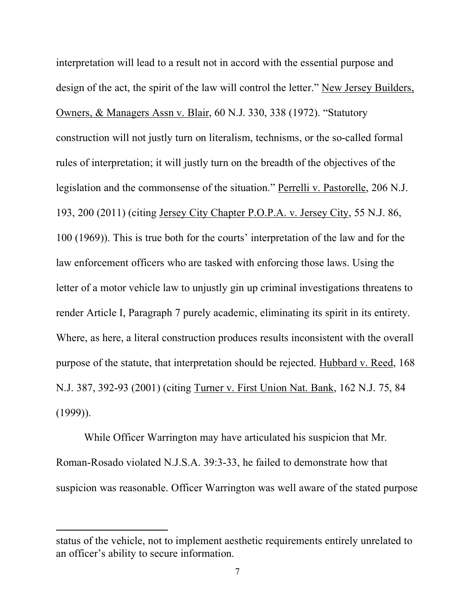interpretation will lead to a result not in accord with the essential purpose and design of the act, the spirit of the law will control the letter." New Jersey Builders, Owners, & Managers Assn v. Blair, 60 N.J. 330, 338 (1972). "Statutory construction will not justly turn on literalism, technisms, or the so-called formal rules of interpretation; it will justly turn on the breadth of the objectives of the legislation and the commonsense of the situation." Perrelli v. Pastorelle, 206 N.J. 193, 200 (2011) (citing Jersey City Chapter P.O.P.A. v. Jersey City, 55 N.J. 86, 100 (1969)). This is true both for the courts' interpretation of the law and for the law enforcement officers who are tasked with enforcing those laws. Using the letter of a motor vehicle law to unjustly gin up criminal investigations threatens to render Article I, Paragraph 7 purely academic, eliminating its spirit in its entirety. Where, as here, a literal construction produces results inconsistent with the overall purpose of the statute, that interpretation should be rejected. Hubbard v. Reed, 168 N.J. 387, 392-93 (2001) (citing Turner v. First Union Nat. Bank, 162 N.J. 75, 84  $(1999)$ ).

While Officer Warrington may have articulated his suspicion that Mr. Roman-Rosado violated N.J.S.A. 39:3-33, he failed to demonstrate how that suspicion was reasonable. Officer Warrington was well aware of the stated purpose

l

status of the vehicle, not to implement aesthetic requirements entirely unrelated to an officer's ability to secure information.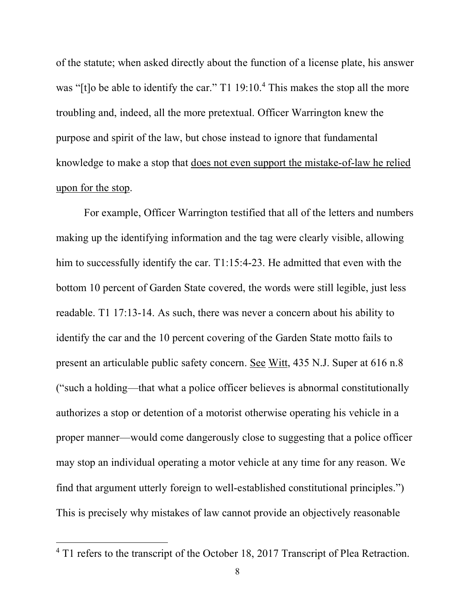of the statute; when asked directly about the function of a license plate, his answer was "[t]o be able to identify the car." T1 19:10.<sup>4</sup> This makes the stop all the more troubling and, indeed, all the more pretextual. Officer Warrington knew the purpose and spirit of the law, but chose instead to ignore that fundamental knowledge to make a stop that does not even support the mistake-of-law he relied upon for the stop.

For example, Officer Warrington testified that all of the letters and numbers making up the identifying information and the tag were clearly visible, allowing him to successfully identify the car. T1:15:4-23. He admitted that even with the bottom 10 percent of Garden State covered, the words were still legible, just less readable. T1 17:13-14. As such, there was never a concern about his ability to identify the car and the 10 percent covering of the Garden State motto fails to present an articulable public safety concern. See Witt, 435 N.J. Super at 616 n.8 ("such a holding—that what a police officer believes is abnormal constitutionally authorizes a stop or detention of a motorist otherwise operating his vehicle in a proper manner—would come dangerously close to suggesting that a police officer may stop an individual operating a motor vehicle at any time for any reason. We find that argument utterly foreign to well-established constitutional principles.") This is precisely why mistakes of law cannot provide an objectively reasonable

 $\overline{a}$ 

<sup>4</sup> T1 refers to the transcript of the October 18, 2017 Transcript of Plea Retraction.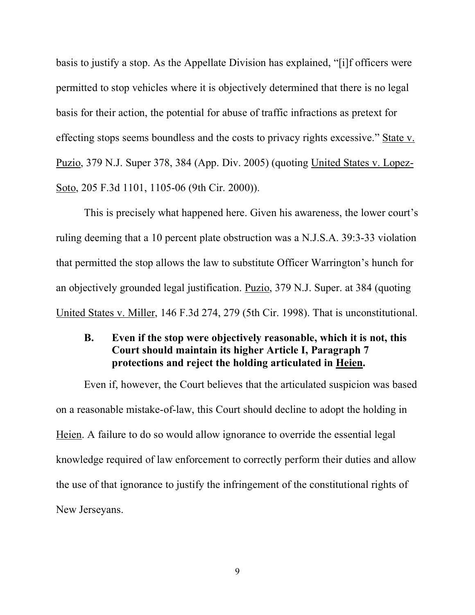basis to justify a stop. As the Appellate Division has explained, "[i]f officers were permitted to stop vehicles where it is objectively determined that there is no legal basis for their action, the potential for abuse of traffic infractions as pretext for effecting stops seems boundless and the costs to privacy rights excessive." State v. Puzio, 379 N.J. Super 378, 384 (App. Div. 2005) (quoting United States v. Lopez-Soto, 205 F.3d 1101, 1105-06 (9th Cir. 2000)).

This is precisely what happened here. Given his awareness, the lower court's ruling deeming that a 10 percent plate obstruction was a N.J.S.A. 39:3-33 violation that permitted the stop allows the law to substitute Officer Warrington's hunch for an objectively grounded legal justification. Puzio, 379 N.J. Super. at 384 (quoting United States v. Miller, 146 F.3d 274, 279 (5th Cir. 1998). That is unconstitutional.

### **B. Even if the stop were objectively reasonable, which it is not, this Court should maintain its higher Article I, Paragraph 7 protections and reject the holding articulated in Heien.**

Even if, however, the Court believes that the articulated suspicion was based on a reasonable mistake-of-law, this Court should decline to adopt the holding in Heien. A failure to do so would allow ignorance to override the essential legal knowledge required of law enforcement to correctly perform their duties and allow the use of that ignorance to justify the infringement of the constitutional rights of New Jerseyans.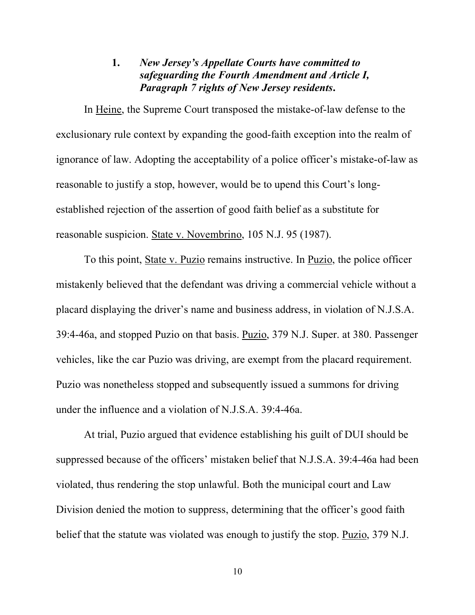#### **1.** *New Jersey's Appellate Courts have committed to safeguarding the Fourth Amendment and Article I, Paragraph 7 rights of New Jersey residents***.**

In Heine, the Supreme Court transposed the mistake-of-law defense to the exclusionary rule context by expanding the good-faith exception into the realm of ignorance of law. Adopting the acceptability of a police officer's mistake-of-law as reasonable to justify a stop, however, would be to upend this Court's longestablished rejection of the assertion of good faith belief as a substitute for reasonable suspicion. State v. Novembrino, 105 N.J. 95 (1987).

To this point, State v. Puzio remains instructive. In Puzio, the police officer mistakenly believed that the defendant was driving a commercial vehicle without a placard displaying the driver's name and business address, in violation of N.J.S.A. 39:4-46a, and stopped Puzio on that basis. Puzio, 379 N.J. Super. at 380. Passenger vehicles, like the car Puzio was driving, are exempt from the placard requirement. Puzio was nonetheless stopped and subsequently issued a summons for driving under the influence and a violation of N.J.S.A. 39:4-46a.

At trial, Puzio argued that evidence establishing his guilt of DUI should be suppressed because of the officers' mistaken belief that N.J.S.A. 39:4-46a had been violated, thus rendering the stop unlawful. Both the municipal court and Law Division denied the motion to suppress, determining that the officer's good faith belief that the statute was violated was enough to justify the stop. Puzio, 379 N.J.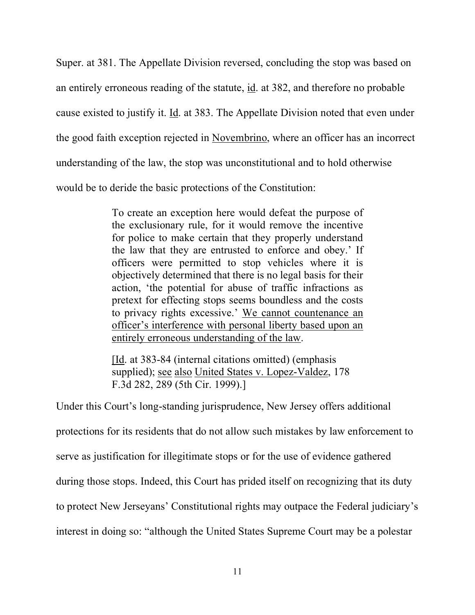Super. at 381. The Appellate Division reversed, concluding the stop was based on an entirely erroneous reading of the statute, id. at 382, and therefore no probable cause existed to justify it. Id. at 383. The Appellate Division noted that even under the good faith exception rejected in Novembrino, where an officer has an incorrect understanding of the law, the stop was unconstitutional and to hold otherwise would be to deride the basic protections of the Constitution:

> To create an exception here would defeat the purpose of the exclusionary rule, for it would remove the incentive for police to make certain that they properly understand the law that they are entrusted to enforce and obey.' If officers were permitted to stop vehicles where it is objectively determined that there is no legal basis for their action, 'the potential for abuse of traffic infractions as pretext for effecting stops seems boundless and the costs to privacy rights excessive.' We cannot countenance an officer's interference with personal liberty based upon an entirely erroneous understanding of the law.

[Id. at 383-84 (internal citations omitted) (emphasis supplied); see also United States v. Lopez-Valdez, 178 F.3d 282, 289 (5th Cir. 1999).]

Under this Court's long-standing jurisprudence, New Jersey offers additional protections for its residents that do not allow such mistakes by law enforcement to serve as justification for illegitimate stops or for the use of evidence gathered during those stops. Indeed, this Court has prided itself on recognizing that its duty to protect New Jerseyans' Constitutional rights may outpace the Federal judiciary's interest in doing so: "although the United States Supreme Court may be a polestar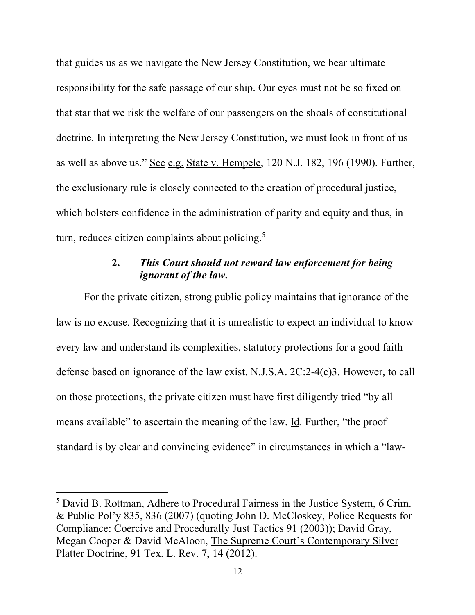that guides us as we navigate the New Jersey Constitution, we bear ultimate responsibility for the safe passage of our ship. Our eyes must not be so fixed on that star that we risk the welfare of our passengers on the shoals of constitutional doctrine. In interpreting the New Jersey Constitution, we must look in front of us as well as above us." See e.g. State v. Hempele, 120 N.J. 182, 196 (1990). Further, the exclusionary rule is closely connected to the creation of procedural justice, which bolsters confidence in the administration of parity and equity and thus, in turn, reduces citizen complaints about policing.<sup>5</sup>

## **2.** *This Court should not reward law enforcement for being ignorant of the law***.**

For the private citizen, strong public policy maintains that ignorance of the law is no excuse. Recognizing that it is unrealistic to expect an individual to know every law and understand its complexities, statutory protections for a good faith defense based on ignorance of the law exist. N.J.S.A. 2C:2-4(c)3. However, to call on those protections, the private citizen must have first diligently tried "by all means available" to ascertain the meaning of the law. Id. Further, "the proof standard is by clear and convincing evidence" in circumstances in which a "law-

 $\overline{a}$ 

<sup>5</sup> David B. Rottman, Adhere to Procedural Fairness in the Justice System, 6 Crim. & Public Pol'y 835, 836 (2007) (quoting John D. McCloskey, Police Requests for Compliance: Coercive and Procedurally Just Tactics 91 (2003)); David Gray, Megan Cooper & David McAloon, The Supreme Court's Contemporary Silver Platter Doctrine, 91 Tex. L. Rev. 7, 14 (2012).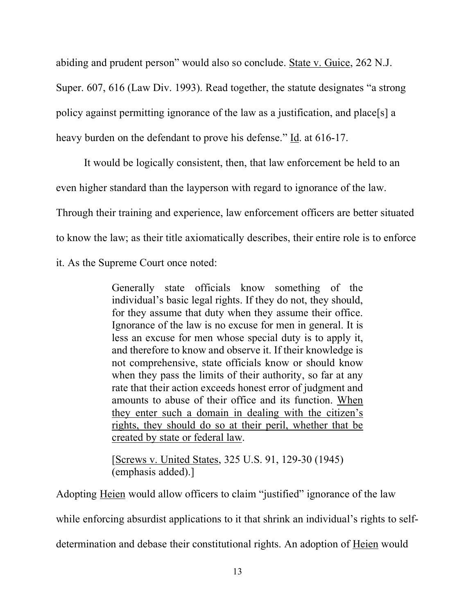abiding and prudent person" would also so conclude. State v. Guice, 262 N.J.

Super. 607, 616 (Law Div. 1993). Read together, the statute designates "a strong

policy against permitting ignorance of the law as a justification, and place[s] a

heavy burden on the defendant to prove his defense." Id. at 616-17.

It would be logically consistent, then, that law enforcement be held to an even higher standard than the layperson with regard to ignorance of the law. Through their training and experience, law enforcement officers are better situated to know the law; as their title axiomatically describes, their entire role is to enforce it. As the Supreme Court once noted:

> Generally state officials know something of the individual's basic legal rights. If they do not, they should, for they assume that duty when they assume their office. Ignorance of the law is no excuse for men in general. It is less an excuse for men whose special duty is to apply it, and therefore to know and observe it. If their knowledge is not comprehensive, state officials know or should know when they pass the limits of their authority, so far at any rate that their action exceeds honest error of judgment and amounts to abuse of their office and its function. When they enter such a domain in dealing with the citizen's rights, they should do so at their peril, whether that be created by state or federal law.

[Screws v. United States, 325 U.S. 91, 129-30 (1945) (emphasis added).]

Adopting Heien would allow officers to claim "justified" ignorance of the law

while enforcing absurdist applications to it that shrink an individual's rights to self-

determination and debase their constitutional rights. An adoption of Heien would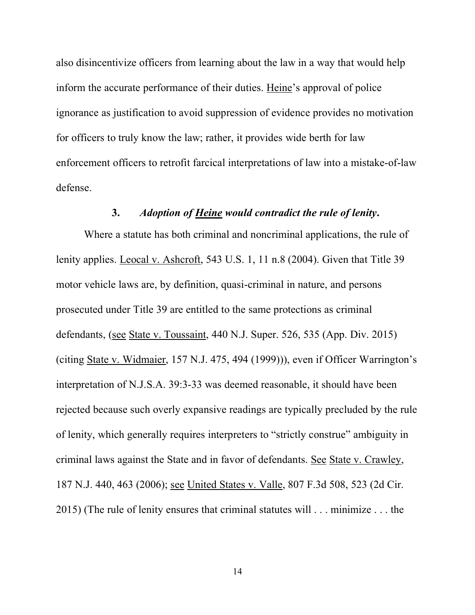also disincentivize officers from learning about the law in a way that would help inform the accurate performance of their duties. Heine's approval of police ignorance as justification to avoid suppression of evidence provides no motivation for officers to truly know the law; rather, it provides wide berth for law enforcement officers to retrofit farcical interpretations of law into a mistake-of-law defense.

### **3.** *Adoption of Heine would contradict the rule of lenity***.**

Where a statute has both criminal and noncriminal applications, the rule of lenity applies. Leocal v. Ashcroft, 543 U.S. 1, 11 n.8 (2004). Given that Title 39 motor vehicle laws are, by definition, quasi-criminal in nature, and persons prosecuted under Title 39 are entitled to the same protections as criminal defendants, (see State v. Toussaint, 440 N.J. Super. 526, 535 (App. Div. 2015) (citing State v. Widmaier, 157 N.J. 475, 494 (1999))), even if Officer Warrington's interpretation of N.J.S.A. 39:3-33 was deemed reasonable, it should have been rejected because such overly expansive readings are typically precluded by the rule of lenity, which generally requires interpreters to "strictly construe" ambiguity in criminal laws against the State and in favor of defendants. See State v. Crawley, 187 N.J. 440, 463 (2006); see United States v. Valle, 807 F.3d 508, 523 (2d Cir. 2015) (The rule of lenity ensures that criminal statutes will . . . minimize . . . the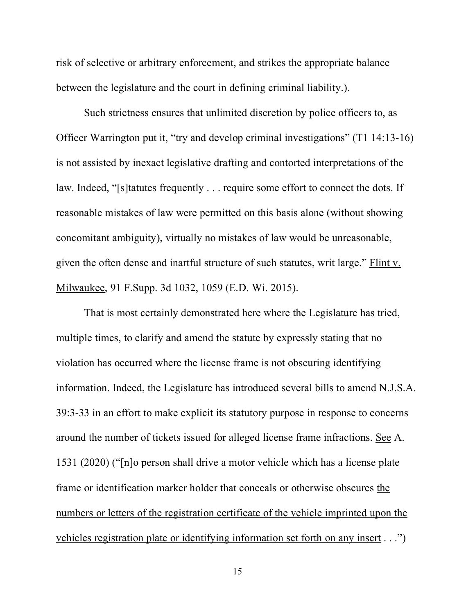risk of selective or arbitrary enforcement, and strikes the appropriate balance between the legislature and the court in defining criminal liability.).

Such strictness ensures that unlimited discretion by police officers to, as Officer Warrington put it, "try and develop criminal investigations" (T1 14:13-16) is not assisted by inexact legislative drafting and contorted interpretations of the law. Indeed, "[s]tatutes frequently . . . require some effort to connect the dots. If reasonable mistakes of law were permitted on this basis alone (without showing concomitant ambiguity), virtually no mistakes of law would be unreasonable, given the often dense and inartful structure of such statutes, writ large." Flint v. Milwaukee, 91 F.Supp. 3d 1032, 1059 (E.D. Wi. 2015).

That is most certainly demonstrated here where the Legislature has tried, multiple times, to clarify and amend the statute by expressly stating that no violation has occurred where the license frame is not obscuring identifying information. Indeed, the Legislature has introduced several bills to amend N.J.S.A. 39:3-33 in an effort to make explicit its statutory purpose in response to concerns around the number of tickets issued for alleged license frame infractions. See A. 1531 (2020) ("[n]o person shall drive a motor vehicle which has a license plate frame or identification marker holder that conceals or otherwise obscures the numbers or letters of the registration certificate of the vehicle imprinted upon the vehicles registration plate or identifying information set forth on any insert . . .")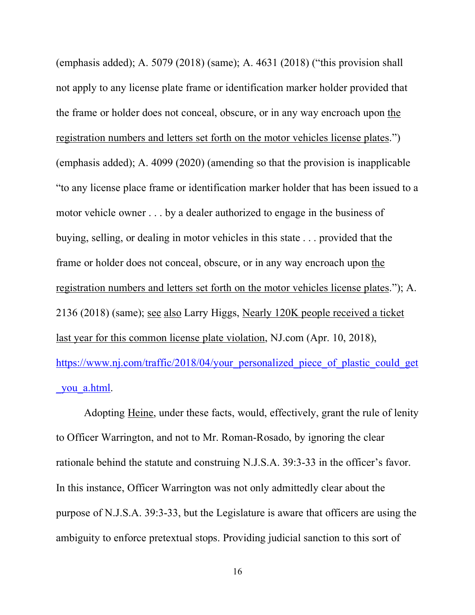(emphasis added); A. 5079 (2018) (same); A. 4631 (2018) ("this provision shall not apply to any license plate frame or identification marker holder provided that the frame or holder does not conceal, obscure, or in any way encroach upon the registration numbers and letters set forth on the motor vehicles license plates.") (emphasis added); A. 4099 (2020) (amending so that the provision is inapplicable "to any license place frame or identification marker holder that has been issued to a motor vehicle owner . . . by a dealer authorized to engage in the business of buying, selling, or dealing in motor vehicles in this state . . . provided that the frame or holder does not conceal, obscure, or in any way encroach upon the registration numbers and letters set forth on the motor vehicles license plates."); A. 2136 (2018) (same); see also Larry Higgs, Nearly 120K people received a ticket last year for this common license plate violation, NJ.com (Apr. 10, 2018), https://www.nj.com/traffic/2018/04/your\_personalized\_piece\_of\_plastic\_could\_get you a.html.

Adopting Heine, under these facts, would, effectively, grant the rule of lenity to Officer Warrington, and not to Mr. Roman-Rosado, by ignoring the clear rationale behind the statute and construing N.J.S.A. 39:3-33 in the officer's favor. In this instance, Officer Warrington was not only admittedly clear about the purpose of N.J.S.A. 39:3-33, but the Legislature is aware that officers are using the ambiguity to enforce pretextual stops. Providing judicial sanction to this sort of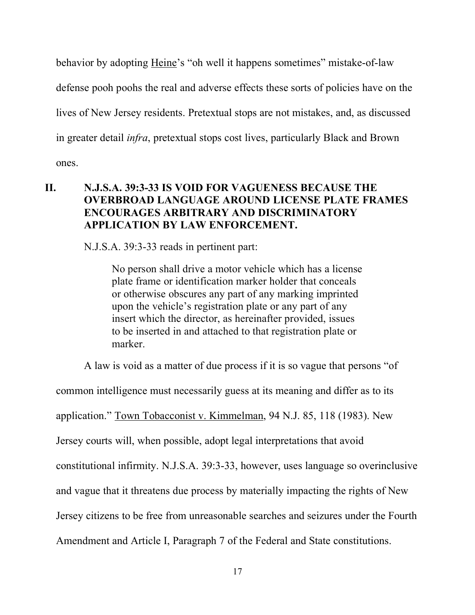behavior by adopting Heine's "oh well it happens sometimes" mistake-of-law defense pooh poohs the real and adverse effects these sorts of policies have on the lives of New Jersey residents. Pretextual stops are not mistakes, and, as discussed in greater detail *infra*, pretextual stops cost lives, particularly Black and Brown ones.

## **II. N.J.S.A. 39:3-33 IS VOID FOR VAGUENESS BECAUSE THE OVERBROAD LANGUAGE AROUND LICENSE PLATE FRAMES ENCOURAGES ARBITRARY AND DISCRIMINATORY APPLICATION BY LAW ENFORCEMENT.**

N.J.S.A. 39:3-33 reads in pertinent part:

No person shall drive a motor vehicle which has a license plate frame or identification marker holder that conceals or otherwise obscures any part of any marking imprinted upon the vehicle's registration plate or any part of any insert which the director, as hereinafter provided, issues to be inserted in and attached to that registration plate or marker.

A law is void as a matter of due process if it is so vague that persons "of

common intelligence must necessarily guess at its meaning and differ as to its application." Town Tobacconist v. Kimmelman, 94 N.J. 85, 118 (1983). New Jersey courts will, when possible, adopt legal interpretations that avoid constitutional infirmity. N.J.S.A. 39:3-33, however, uses language so overinclusive and vague that it threatens due process by materially impacting the rights of New Jersey citizens to be free from unreasonable searches and seizures under the Fourth Amendment and Article I, Paragraph 7 of the Federal and State constitutions.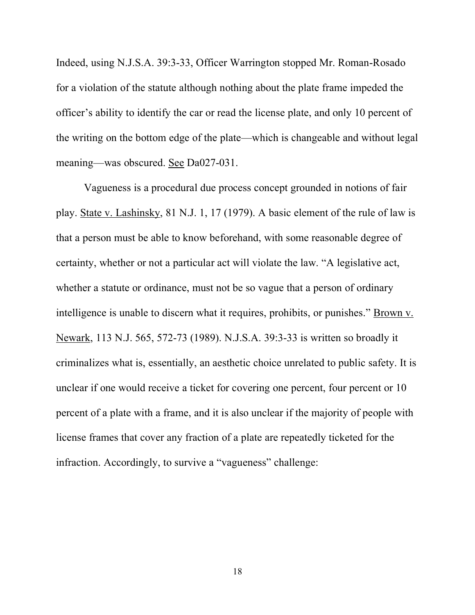Indeed, using N.J.S.A. 39:3-33, Officer Warrington stopped Mr. Roman-Rosado for a violation of the statute although nothing about the plate frame impeded the officer's ability to identify the car or read the license plate, and only 10 percent of the writing on the bottom edge of the plate—which is changeable and without legal meaning—was obscured. See Da027-031.

Vagueness is a procedural due process concept grounded in notions of fair play. State v. Lashinsky, 81 N.J. 1, 17 (1979). A basic element of the rule of law is that a person must be able to know beforehand, with some reasonable degree of certainty, whether or not a particular act will violate the law. "A legislative act, whether a statute or ordinance, must not be so vague that a person of ordinary intelligence is unable to discern what it requires, prohibits, or punishes." Brown v. Newark, 113 N.J. 565, 572-73 (1989). N.J.S.A. 39:3-33 is written so broadly it criminalizes what is, essentially, an aesthetic choice unrelated to public safety. It is unclear if one would receive a ticket for covering one percent, four percent or 10 percent of a plate with a frame, and it is also unclear if the majority of people with license frames that cover any fraction of a plate are repeatedly ticketed for the infraction. Accordingly, to survive a "vagueness" challenge: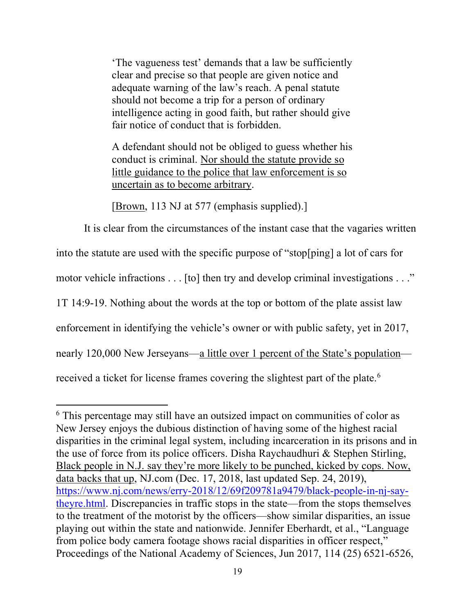'The vagueness test' demands that a law be sufficiently clear and precise so that people are given notice and adequate warning of the law's reach. A penal statute should not become a trip for a person of ordinary intelligence acting in good faith, but rather should give fair notice of conduct that is forbidden.

A defendant should not be obliged to guess whether his conduct is criminal. Nor should the statute provide so little guidance to the police that law enforcement is so uncertain as to become arbitrary.

[Brown, 113 NJ at 577 (emphasis supplied).]

 $\overline{a}$ 

It is clear from the circumstances of the instant case that the vagaries written into the statute are used with the specific purpose of "stop[ping] a lot of cars for motor vehicle infractions . . . [to] then try and develop criminal investigations . . ." 1T 14:9-19. Nothing about the words at the top or bottom of the plate assist law enforcement in identifying the vehicle's owner or with public safety, yet in 2017, nearly 120,000 New Jerseyans—a little over 1 percent of the State's population received a ticket for license frames covering the slightest part of the plate.<sup>6</sup>

<sup>6</sup> This percentage may still have an outsized impact on communities of color as New Jersey enjoys the dubious distinction of having some of the highest racial disparities in the criminal legal system, including incarceration in its prisons and in the use of force from its police officers. Disha Raychaudhuri & Stephen Stirling, Black people in N.J. say they're more likely to be punched, kicked by cops. Now, data backs that up, NJ.com (Dec. 17, 2018, last updated Sep. 24, 2019), https://www.nj.com/news/erry-2018/12/69f209781a9479/black-people-in-nj-saytheyre.html. Discrepancies in traffic stops in the state—from the stops themselves to the treatment of the motorist by the officers—show similar disparities, an issue playing out within the state and nationwide. Jennifer Eberhardt, et al., "Language from police body camera footage shows racial disparities in officer respect," Proceedings of the National Academy of Sciences, Jun 2017, 114 (25) 6521-6526,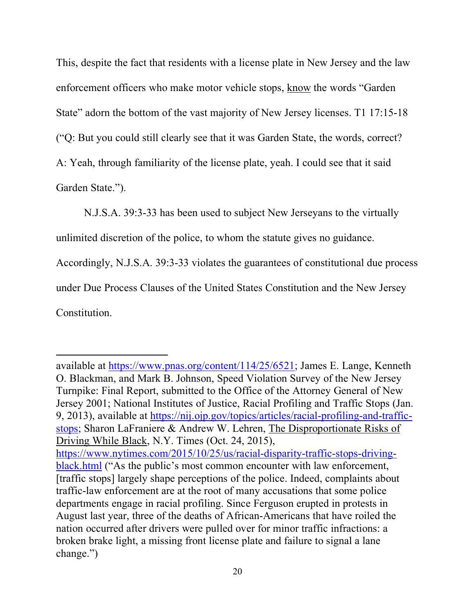This, despite the fact that residents with a license plate in New Jersey and the law enforcement officers who make motor vehicle stops, know the words "Garden State" adorn the bottom of the vast majority of New Jersey licenses. T1 17:15-18 ("Q: But you could still clearly see that it was Garden State, the words, correct? A: Yeah, through familiarity of the license plate, yeah. I could see that it said Garden State.").

N.J.S.A. 39:3-33 has been used to subject New Jerseyans to the virtually

unlimited discretion of the police, to whom the statute gives no guidance.

Accordingly, N.J.S.A. 39:3-33 violates the guarantees of constitutional due process

under Due Process Clauses of the United States Constitution and the New Jersey

Constitution.

l

available at https://www.pnas.org/content/114/25/6521; James E. Lange, Kenneth O. Blackman, and Mark B. Johnson, Speed Violation Survey of the New Jersey Turnpike: Final Report, submitted to the Office of the Attorney General of New Jersey 2001; National Institutes of Justice, Racial Profiling and Traffic Stops (Jan. 9, 2013), available at https://nij.ojp.gov/topics/articles/racial-profiling-and-trafficstops; Sharon LaFraniere & Andrew W. Lehren, The Disproportionate Risks of Driving While Black, N.Y. Times (Oct. 24, 2015), https://www.nytimes.com/2015/10/25/us/racial-disparity-traffic-stops-drivingblack.html ("As the public's most common encounter with law enforcement, [traffic stops] largely shape perceptions of the police. Indeed, complaints about traffic-law enforcement are at the root of many accusations that some police departments engage in racial profiling. Since Ferguson erupted in protests in August last year, three of the deaths of African-Americans that have roiled the nation occurred after drivers were pulled over for minor traffic infractions: a broken brake light, a missing front license plate and failure to signal a lane change.")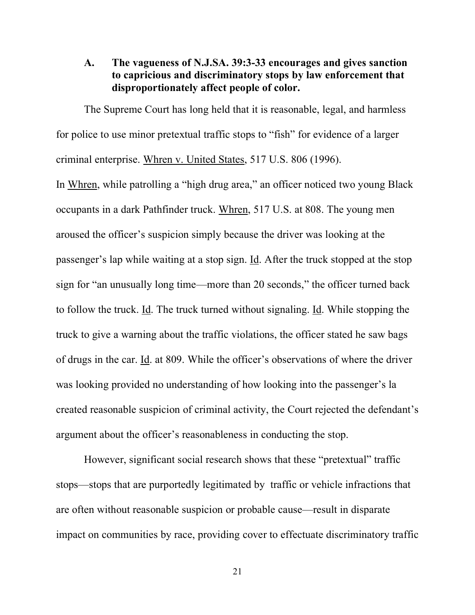#### **A. The vagueness of N.J.SA. 39:3-33 encourages and gives sanction to capricious and discriminatory stops by law enforcement that disproportionately affect people of color.**

The Supreme Court has long held that it is reasonable, legal, and harmless for police to use minor pretextual traffic stops to "fish" for evidence of a larger criminal enterprise. Whren v. United States, 517 U.S. 806 (1996).

In Whren, while patrolling a "high drug area," an officer noticed two young Black occupants in a dark Pathfinder truck. Whren, 517 U.S. at 808. The young men aroused the officer's suspicion simply because the driver was looking at the passenger's lap while waiting at a stop sign. Id. After the truck stopped at the stop sign for "an unusually long time—more than 20 seconds," the officer turned back to follow the truck. Id. The truck turned without signaling. Id. While stopping the truck to give a warning about the traffic violations, the officer stated he saw bags of drugs in the car. Id. at 809. While the officer's observations of where the driver was looking provided no understanding of how looking into the passenger's la created reasonable suspicion of criminal activity, the Court rejected the defendant's argument about the officer's reasonableness in conducting the stop.

However, significant social research shows that these "pretextual" traffic stops—stops that are purportedly legitimated by traffic or vehicle infractions that are often without reasonable suspicion or probable cause—result in disparate impact on communities by race, providing cover to effectuate discriminatory traffic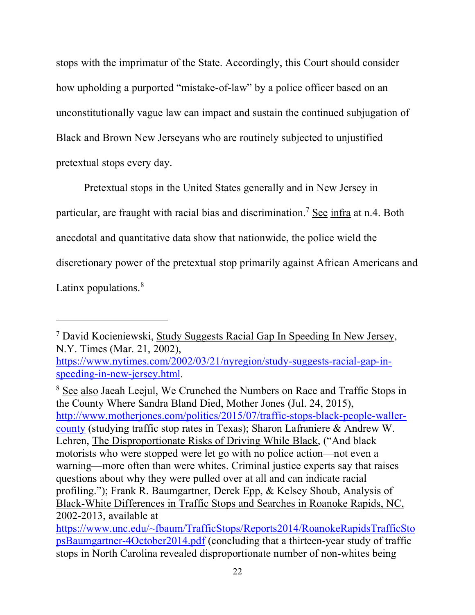stops with the imprimatur of the State. Accordingly, this Court should consider how upholding a purported "mistake-of-law" by a police officer based on an unconstitutionally vague law can impact and sustain the continued subjugation of Black and Brown New Jerseyans who are routinely subjected to unjustified pretextual stops every day.

Pretextual stops in the United States generally and in New Jersey in particular, are fraught with racial bias and discrimination.<sup>7</sup> See infra at n.4. Both anecdotal and quantitative data show that nationwide, the police wield the discretionary power of the pretextual stop primarily against African Americans and Latinx populations.<sup>8</sup>

 $\overline{a}$ 

<sup>8</sup> See also Jaeah Leejul, We Crunched the Numbers on Race and Traffic Stops in the County Where Sandra Bland Died, Mother Jones (Jul. 24, 2015), http://www.motherjones.com/politics/2015/07/traffic-stops-black-people-wallercounty (studying traffic stop rates in Texas); Sharon Lafraniere & Andrew W. Lehren, The Disproportionate Risks of Driving While Black, ("And black motorists who were stopped were let go with no police action—not even a warning—more often than were whites. Criminal justice experts say that raises questions about why they were pulled over at all and can indicate racial profiling."); Frank R. Baumgartner, Derek Epp, & Kelsey Shoub, Analysis of Black-White Differences in Traffic Stops and Searches in Roanoke Rapids, NC, 2002-2013, available at

<sup>7</sup> David Kocieniewski, Study Suggests Racial Gap In Speeding In New Jersey, N.Y. Times (Mar. 21, 2002),

https://www.nytimes.com/2002/03/21/nyregion/study-suggests-racial-gap-inspeeding-in-new-jersey.html.

https://www.unc.edu/~fbaum/TrafficStops/Reports2014/RoanokeRapidsTrafficSto psBaumgartner-4October2014.pdf (concluding that a thirteen-year study of traffic stops in North Carolina revealed disproportionate number of non-whites being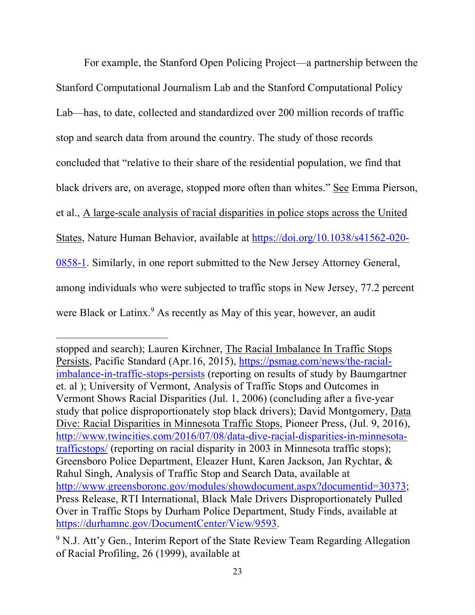For example, the Stanford Open Policing Project—a partnership between the Stanford Computational Journalism Lab and the Stanford Computational Policy Lab—has, to date, collected and standardized over 200 million records of traffic stop and search data from around the country. The study of those records concluded that "relative to their share of the residential population, we find that black drivers are, on average, stopped more often than whites." See Emma Pierson, et al., A large-scale analysis of racial disparities in police stops across the United States, Nature Human Behavior, available at https://doi.org/10.1038/s41562-020- 0858-1. Similarly, in one report submitted to the New Jersey Attorney General, among individuals who were subjected to traffic stops in New Jersey, 77.2 percent were Black or Latinx.<sup>9</sup> As recently as May of this year, however, an audit

l

stopped and search); Lauren Kirchner, The Racial Imbalance In Traffic Stops Persists, Pacific Standard (Apr.16, 2015), https://psmag.com/news/the-racialimbalance-in-traffic-stops-persists (reporting on results of study by Baumgartner et. al ); University of Vermont, Analysis of Traffic Stops and Outcomes in Vermont Shows Racial Disparities (Jul. 1, 2006) (concluding after a five-year study that police disproportionately stop black drivers); David Montgomery, Data Dive: Racial Disparities in Minnesota Traffic Stops, Pioneer Press, (Jul. 9, 2016), http://www.twincities.com/2016/07/08/data-dive-racial-disparities-in-minnesotatrafficstops/ (reporting on racial disparity in 2003 in Minnesota traffic stops); Greensboro Police Department, Eleazer Hunt, Karen Jackson, Jan Rychtar, & Rahul Singh, Analysis of Traffic Stop and Search Data, available at http://www.greensboronc.gov/modules/showdocument.aspx?documentid=30373; Press Release, RTI International, Black Male Drivers Disproportionately Pulled Over in Traffic Stops by Durham Police Department, Study Finds, available at https://durhamnc.gov/DocumentCenter/View/9593.

<sup>&</sup>lt;sup>9</sup> N.J. Att'y Gen., Interim Report of the State Review Team Regarding Allegation of Racial Profiling, 26 (1999), available at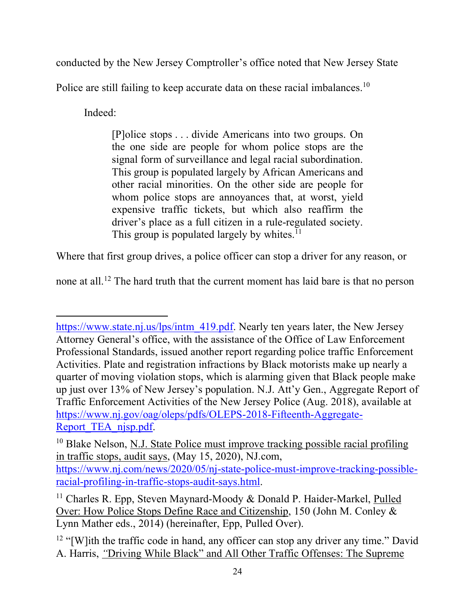conducted by the New Jersey Comptroller's office noted that New Jersey State

Police are still failing to keep accurate data on these racial imbalances.<sup>10</sup>

Indeed:

 $\overline{a}$ 

[P]olice stops . . . divide Americans into two groups. On the one side are people for whom police stops are the signal form of surveillance and legal racial subordination. This group is populated largely by African Americans and other racial minorities. On the other side are people for whom police stops are annoyances that, at worst, yield expensive traffic tickets, but which also reaffirm the driver's place as a full citizen in a rule-regulated society. This group is populated largely by whites.<sup>11</sup>

Where that first group drives, a police officer can stop a driver for any reason, or

none at all.12 The hard truth that the current moment has laid bare is that no person

https://www.state.nj.us/lps/intm\_419.pdf. Nearly ten years later, the New Jersey Attorney General's office, with the assistance of the Office of Law Enforcement Professional Standards, issued another report regarding police traffic Enforcement Activities. Plate and registration infractions by Black motorists make up nearly a quarter of moving violation stops, which is alarming given that Black people make up just over 13% of New Jersey's population. N.J. Att'y Gen., Aggregate Report of Traffic Enforcement Activities of the New Jersey Police (Aug. 2018), available at https://www.nj.gov/oag/oleps/pdfs/OLEPS-2018-Fifteenth-Aggregate-Report TEA njsp.pdf.

<sup>&</sup>lt;sup>10</sup> Blake Nelson, N.J. State Police must improve tracking possible racial profiling in traffic stops, audit says, (May 15, 2020), NJ.com, https://www.nj.com/news/2020/05/nj-state-police-must-improve-tracking-possibleracial-profiling-in-traffic-stops-audit-says.html.

<sup>&</sup>lt;sup>11</sup> Charles R. Epp, Steven Maynard-Moody & Donald P. Haider-Markel, Pulled Over: How Police Stops Define Race and Citizenship, 150 (John M. Conley & Lynn Mather eds., 2014) (hereinafter, Epp, Pulled Over).

<sup>&</sup>lt;sup>12</sup> "[W]ith the traffic code in hand, any officer can stop any driver any time." David A. Harris, *"*Driving While Black" and All Other Traffic Offenses: The Supreme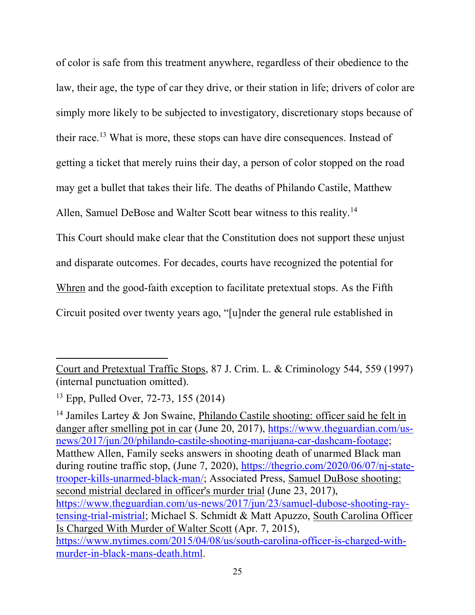of color is safe from this treatment anywhere, regardless of their obedience to the law, their age, the type of car they drive, or their station in life; drivers of color are simply more likely to be subjected to investigatory, discretionary stops because of their race. <sup>13</sup> What is more, these stops can have dire consequences. Instead of getting a ticket that merely ruins their day, a person of color stopped on the road may get a bullet that takes their life. The deaths of Philando Castile, Matthew Allen, Samuel DeBose and Walter Scott bear witness to this reality.<sup>14</sup> This Court should make clear that the Constitution does not support these unjust and disparate outcomes. For decades, courts have recognized the potential for Whren and the good-faith exception to facilitate pretextual stops. As the Fifth Circuit posited over twenty years ago, "[u]nder the general rule established in

 $\overline{a}$ 

<sup>14</sup> Jamiles Lartey & Jon Swaine, Philando Castile shooting: officer said he felt in danger after smelling pot in car (June 20, 2017), https://www.theguardian.com/usnews/2017/jun/20/philando-castile-shooting-marijuana-car-dashcam-footage; Matthew Allen, Family seeks answers in shooting death of unarmed Black man during routine traffic stop, (June 7, 2020), https://thegrio.com/2020/06/07/nj-statetrooper-kills-unarmed-black-man/; Associated Press, Samuel DuBose shooting: second mistrial declared in officer's murder trial (June 23, 2017), https://www.theguardian.com/us-news/2017/jun/23/samuel-dubose-shooting-raytensing-trial-mistrial; Michael S. Schmidt & Matt Apuzzo, South Carolina Officer Is Charged With Murder of Walter Scott (Apr. 7, 2015), https://www.nytimes.com/2015/04/08/us/south-carolina-officer-is-charged-withmurder-in-black-mans-death.html.

Court and Pretextual Traffic Stops, 87 J. Crim. L. & Criminology 544, 559 (1997) (internal punctuation omitted).

<sup>13</sup> Epp, Pulled Over, 72-73, 155 (2014)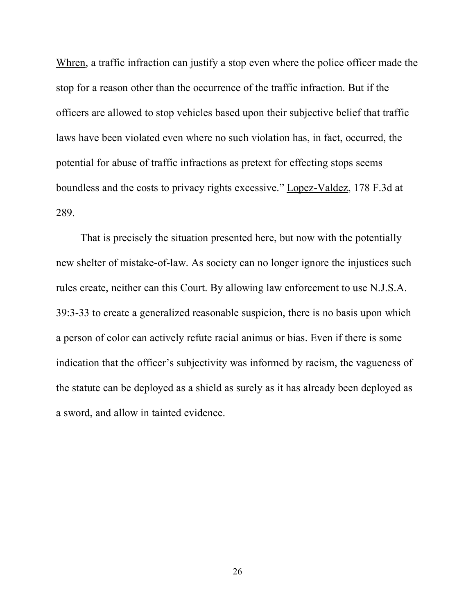Whren, a traffic infraction can justify a stop even where the police officer made the stop for a reason other than the occurrence of the traffic infraction. But if the officers are allowed to stop vehicles based upon their subjective belief that traffic laws have been violated even where no such violation has, in fact, occurred, the potential for abuse of traffic infractions as pretext for effecting stops seems boundless and the costs to privacy rights excessive." Lopez-Valdez, 178 F.3d at 289.

That is precisely the situation presented here, but now with the potentially new shelter of mistake-of-law. As society can no longer ignore the injustices such rules create, neither can this Court. By allowing law enforcement to use N.J.S.A. 39:3-33 to create a generalized reasonable suspicion, there is no basis upon which a person of color can actively refute racial animus or bias. Even if there is some indication that the officer's subjectivity was informed by racism, the vagueness of the statute can be deployed as a shield as surely as it has already been deployed as a sword, and allow in tainted evidence.